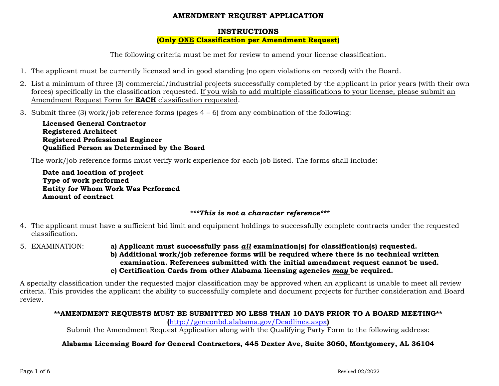# **AMENDMENT REQUEST APPLICATION**

## **INSTRUCTIONS**

## **(Only ONE Classification per Amendment Request)**

The following criteria must be met for review to amend your license classification.

- 1. The applicant must be currently licensed and in good standing (no open violations on record) with the Board.
- 2. List a minimum of three (3) commercial/industrial projects successfully completed by the applicant in prior years (with their own forces) specifically in the classification requested. If you wish to add multiple classifications to your license, please submit an Amendment Request Form for **EACH** classification requested.
- 3. Submit three (3) work/job reference forms (pages 4 6) from any combination of the following:

**Licensed General Contractor Registered Architect Registered Professional Engineer Qualified Person as Determined by the Board**

The work/job reference forms must verify work experience for each job listed. The forms shall include:

**Date and location of project Type of work performed Entity for Whom Work Was Performed Amount of contract**

# *\*\*\*This is not a character reference\*\*\**

- 4. The applicant must have a sufficient bid limit and equipment holdings to successfully complete contracts under the requested classification.
- 5. EXAMINATION: **a) Applicant must successfully pass** *all* **examination(s) for classification(s) requested. b) Additional work/job reference forms will be required where there is no technical written examination. References submitted with the initial amendment request cannot be used. c) Certification Cards from other Alabama licensing agencies** *may* **be required.**

A specialty classification under the requested major classification may be approved when an applicant is unable to meet all review criteria. This provides the applicant the ability to successfully complete and document projects for further consideration and Board review.

# **\*\*AMENDMENT REQUESTS MUST BE SUBMITTED NO LESS THAN 10 DAYS PRIOR TO A BOARD MEETING\*\***

**(**<http://genconbd.alabama.gov/Deadlines.aspx>**)** 

Submit the Amendment Request Application along with the Qualifying Party Form to the following address:

# **Alabama Licensing Board for General Contractors, 445 Dexter Ave, Suite 3060, Montgomery, AL 36104**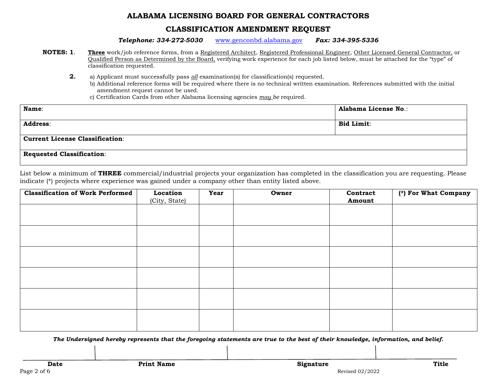### **CLASSIFICATION AMENDMENT REQUEST**

*Telephone: 334-272-5030* [www.genconbd.alabama.gov](http://www.genconbd.alabama.gov/) *Fax: 334-395-5336*

- **NOTES: 1**. **Three** work/job reference forms, from a Registered Architect, Registered Professional Engineer, Other Licensed General Contractor, or Qualified Person as Determined by the Board, verifying work experience for each job listed below, must be attached for the "type" of classification requested.
	- **2.** a) Applicant must successfully pass *all* examination(s) for classification(s) requested.
		- b) Additional reference forms will be required where there is no technical written examination. References submitted with the initial amendment request cannot be used.
		- c) Certification Cards from other Alabama licensing agencies *may be* required.

| Name:                                  | <b>Alabama License No.:</b> |
|----------------------------------------|-----------------------------|
| <b>Address:</b>                        | <b>Bid Limit:</b>           |
| <b>Current License Classification:</b> |                             |
| <b>Requested Classification:</b>       |                             |

List below a minimum of **THREE** commercial/industrial projects your organization has completed in the classification you are requesting. Please indicate (\*) projects where experience was gained under a company other than entity listed above.

| <b>Classification of Work Performed</b> | Location<br>(City, State) | Year | Owner | Contract<br>Amount | $\overline{(*)}$ For What Company |
|-----------------------------------------|---------------------------|------|-------|--------------------|-----------------------------------|
|                                         |                           |      |       |                    |                                   |
|                                         |                           |      |       |                    |                                   |
|                                         |                           |      |       |                    |                                   |
|                                         |                           |      |       |                    |                                   |
|                                         |                           |      |       |                    |                                   |
|                                         |                           |      |       |                    |                                   |
|                                         |                           |      |       |                    |                                   |
|                                         |                           |      |       |                    |                                   |
|                                         |                           |      |       |                    |                                   |
|                                         |                           |      |       |                    |                                   |
|                                         |                           |      |       |                    |                                   |

*The Undersigned hereby represents that the foregoing statements are true to the best of their knowledge, information, and belief.*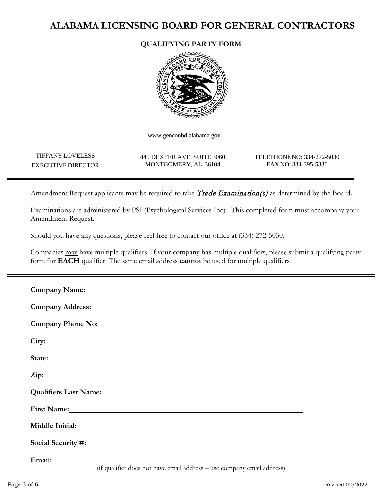## **QUALIFYING PARTY FORM**



www.genconbd.alabama.gov

TIFFANY LOVELESS EXECUTIVE DIRECTOR

445 DEXTER AVE, SUITE 3060 MONTGOMERY, AL 36104

TELEPHONENO: 334-272-5030 FAX NO: 334-395-5336

Amendment Request applicants may be required to take **Trade Examination(s)** as determined by the Board.

Examinations are administered by PSI (Psychological Services Inc). This completed form must accompany your Amendment Request.

Should you have any questions, please feel free to contact our office at (334) 272-5030.

Companies may have multiple qualifiers. If your company has multiple qualifiers, please submit a qualifying party form for **EACH** qualifier. The same email address **cannot** be used for multiple qualifiers.

| State: State: State: State: State: State: State: State: State: State: State: State: State: State: State: State: State: State: State: State: State: State: State: State: State: State: State: State: State: State: State: State |
|--------------------------------------------------------------------------------------------------------------------------------------------------------------------------------------------------------------------------------|
| Zip: 2002.                                                                                                                                                                                                                     |
|                                                                                                                                                                                                                                |
| First Name: 1988 Communication of the Second Communication of the Second Communication of the Second Communication of the Second Communication of the Second Communication of the Second Communication of the Second Communica |
| Middle Initial: No. 2014 12: 10:20:20 Nicolas Englisher School and The Contract of the Contract of the Contract of the Contract of the Contract of the Contract of the Contract of the Contract of the Contract of the Contrac |
| Social Security #: 1982                                                                                                                                                                                                        |
| Email: No. 2014 1998 and 2014 1999 and 2014 1999 and 2014 1999 and 2014 1999 and 2014 1999 and 2014 1999 and 20                                                                                                                |

(if qualifier does not have email address – use company email address)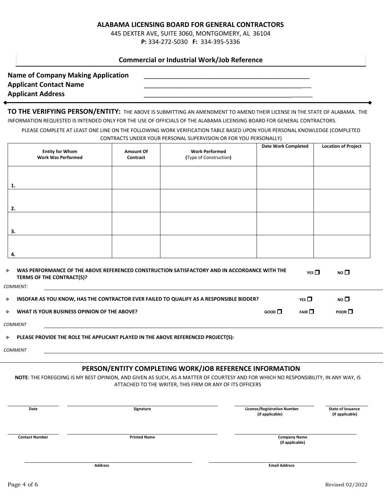445 DEXTER AVE, SUITE 3060, MONTGOMERY, AL 36104 **P:** 334-272-5030 **F:** 334-395-5336

#### **Commercial or Industrial Work/Job Reference**

| <b>Name of Company Making Application</b> |  |
|-------------------------------------------|--|
| <b>Applicant Contact Name</b>             |  |
| <b>Applicant Address</b>                  |  |

**TO THE VERIFYING PERSON/ENTITY:** THE ABOVE IS SUBMITTING AN AMENDMENT TO AMEND THEIR LICENSE IN THE STATE OF ALABAMA. THE INFORMATION REQUESTED IS INTENDED ONLY FOR THE USE OF OFFICIALS OF THE ALABAMA LICENSING BOARD FOR GENERAL CONTRACTORS.

PLEASE COMPLETE AT LEAST ONE LINE ON THE FOLLOWING WORK VERIFICATION TABLE BASED UPON YOUR PERSONAL KNOWLEDGE (COMPLETED CONTRACTS UNDER YOUR PERSONAL SUPERVISION OR FOR YOU PERSONALLY)

| <b>Entity for Whom</b><br><b>Work Was Performed</b> | <b>Amount Of</b><br>Contract | <b>Work Performed</b><br>(Type of Construction) | <b>Date Work Completed</b> | <b>Location of Project</b> |
|-----------------------------------------------------|------------------------------|-------------------------------------------------|----------------------------|----------------------------|
| 1.                                                  |                              |                                                 |                            |                            |
| 2.                                                  |                              |                                                 |                            |                            |
| 3.                                                  |                              |                                                 |                            |                            |
| 4.                                                  |                              |                                                 |                            |                            |

| a straight                  | WAS PERFORMANCE OF THE ABOVE REFERENCED CONSTRUCTION SATISFACTORY AND IN ACCORDANCE WITH THE<br>TERMS OF THE CONTRACT(S)? |                            | YES $\Box$ | NO $\square$ |
|-----------------------------|---------------------------------------------------------------------------------------------------------------------------|----------------------------|------------|--------------|
|                             | <i>COMMENT:</i>                                                                                                           |                            |            |              |
| $\mathcal{L}_{\mathcal{P}}$ | INSOFAR AS YOU KNOW, HAS THE CONTRACTOR EVER FAILED TO QUALIFY AS A RESPONSIBLE BIDDER?                                   |                            | $YFS \Pi$  | NO $\square$ |
| $\mathcal{L}_{\mathcal{P}}$ | WHAT IS YOUR BUSINESS OPINION OF THE ABOVE?                                                                               | $G$ <sub>GOOD</sub> $\Box$ | FAIR       | <b>POOR</b>  |
|                             |                                                                                                                           |                            |            |              |

*COMMENT*

**PLEASE PROVIDE THE ROLE THE APPLICANT PLAYED IN THE ABOVE REFERENCED PROJECT(S):**

*COMMENT*

#### **PERSON/ENTITY COMPLETING WORK/JOB REFERENCE INFORMATION**

**NOTE**: THE FOREGOING IS MY BEST OPINION, AND GIVEN AS SUCH, AS A MATTER OF COURTESY AND FOR WHICH NO RESPONSIBILITY, IN ANY WAY, IS ATTACHED TO THE WRITER, THIS FIRM OR ANY OF ITS OFFICERS

| Date                  | Signature           | <b>License/Registration Number</b><br>(if applicable) | <b>State of Issuance</b><br>(if applicable) |
|-----------------------|---------------------|-------------------------------------------------------|---------------------------------------------|
| <b>Contact Number</b> | <b>Printed Name</b> | <b>Company Name</b><br>(if applicable)                |                                             |
|                       | <b>Address</b>      | <b>Email Address</b>                                  |                                             |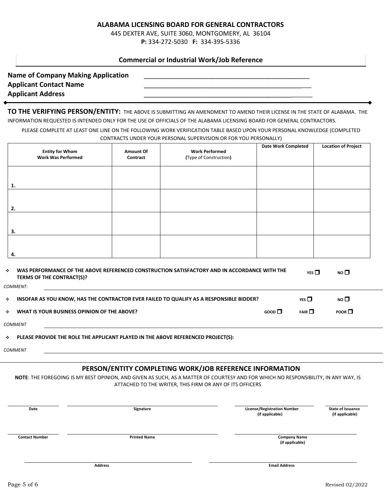445 DEXTER AVE, SUITE 3060, MONTGOMERY, AL 36104 **P:** 334-272-5030 **F:** 334-395-5336

#### **Commercial or Industrial Work/Job Reference**

| <b>Name of Company Making Application</b> |  |
|-------------------------------------------|--|
| <b>Applicant Contact Name</b>             |  |
| <b>Applicant Address</b>                  |  |

**TO THE VERIFYING PERSON/ENTITY:** THE ABOVE IS SUBMITTING AN AMENDMENT TO AMEND THEIR LICENSE IN THE STATE OF ALABAMA. THE INFORMATION REQUESTED IS INTENDED ONLY FOR THE USE OF OFFICIALS OF THE ALABAMA LICENSING BOARD FOR GENERAL CONTRACTORS.

PLEASE COMPLETE AT LEAST ONE LINE ON THE FOLLOWING WORK VERIFICATION TABLE BASED UPON YOUR PERSONAL KNOWLEDGE (COMPLETED CONTRACTS UNDER YOUR PERSONAL SUPERVISION OR FOR YOU PERSONALLY)

| <b>Entity for Whom</b><br><b>Work Was Performed</b> | <b>Amount Of</b><br>Contract | <b>Work Performed</b><br>(Type of Construction) | <b>Date Work Completed</b> | <b>Location of Project</b> |
|-----------------------------------------------------|------------------------------|-------------------------------------------------|----------------------------|----------------------------|
| 1.                                                  |                              |                                                 |                            |                            |
| 2.                                                  |                              |                                                 |                            |                            |
| 3.                                                  |                              |                                                 |                            |                            |
| 4.                                                  |                              |                                                 |                            |                            |

| a straight                  | WAS PERFORMANCE OF THE ABOVE REFERENCED CONSTRUCTION SATISFACTORY AND IN ACCORDANCE WITH THE<br>TERMS OF THE CONTRACT(S)? |                            | YES $\Box$ | NO $\square$ |
|-----------------------------|---------------------------------------------------------------------------------------------------------------------------|----------------------------|------------|--------------|
|                             | <i>COMMENT:</i>                                                                                                           |                            |            |              |
| $\mathcal{L}_{\mathcal{P}}$ | INSOFAR AS YOU KNOW, HAS THE CONTRACTOR EVER FAILED TO QUALIFY AS A RESPONSIBLE BIDDER?                                   |                            | $YFS \Pi$  | NO $\square$ |
| $\mathcal{L}_{\mathcal{P}}$ | WHAT IS YOUR BUSINESS OPINION OF THE ABOVE?                                                                               | $G$ <sub>GOOD</sub> $\Box$ | FAIR       | <b>POOR</b>  |
|                             |                                                                                                                           |                            |            |              |

*COMMENT*

**PLEASE PROVIDE THE ROLE THE APPLICANT PLAYED IN THE ABOVE REFERENCED PROJECT(S):**

*COMMENT*

#### **PERSON/ENTITY COMPLETING WORK/JOB REFERENCE INFORMATION**

**NOTE**: THE FOREGOING IS MY BEST OPINION, AND GIVEN AS SUCH, AS A MATTER OF COURTESY AND FOR WHICH NO RESPONSIBILITY, IN ANY WAY, IS ATTACHED TO THE WRITER, THIS FIRM OR ANY OF ITS OFFICERS

| Date                  | Signature           | <b>License/Registration Number</b><br><b>State of Issuance</b><br>(if applicable)<br>(if applicable) |
|-----------------------|---------------------|------------------------------------------------------------------------------------------------------|
| <b>Contact Number</b> | <b>Printed Name</b> | <b>Company Name</b><br>(if applicable)                                                               |
|                       | <b>Address</b>      | <b>Email Address</b>                                                                                 |